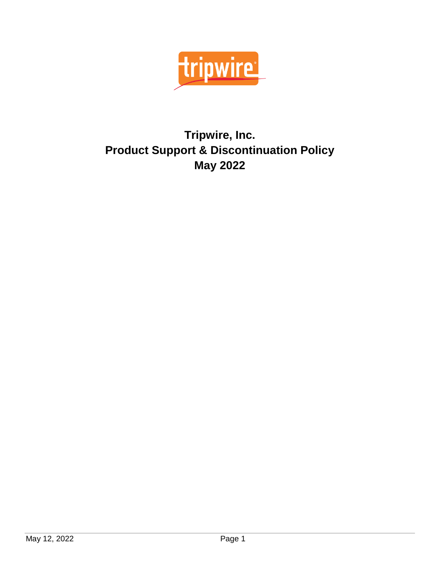

## **Tripwire, Inc. Product Support & Discontinuation Policy May 2022**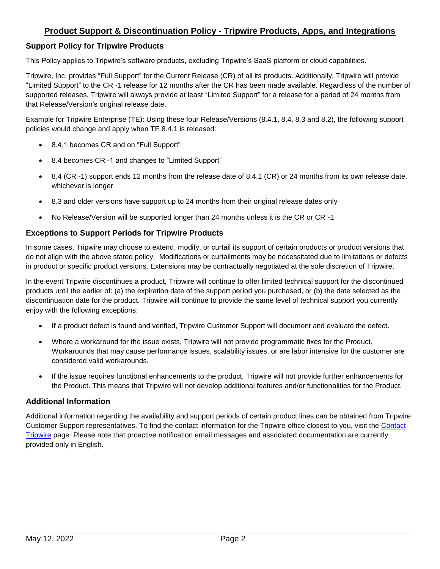### **Product Support & Discontinuation Policy - Tripwire Products, Apps, and Integrations**

### **Support Policy for Tripwire Products**

This Policy applies to Tripwire's software products, excluding Tripwire's SaaS platform or cloud capabilities.

Tripwire, Inc. provides "Full Support" for the Current Release (CR) of all its products. Additionally, Tripwire will provide "Limited Support" to the CR -1 release for 12 months after the CR has been made available. Regardless of the number of supported releases, Tripwire will always provide at least "Limited Support" for a release for a period of 24 months from that Release/Version's original release date.

Example for Tripwire Enterprise (TE): Using these four Release/Versions (8.4.1, 8.4, 8.3 and 8.2), the following support policies would change and apply when TE 8.4.1 is released:

- 8.4.1 becomes CR and on "Full Support"
- 8.4 becomes CR -1 and changes to "Limited Support"
- 8.4 (CR -1) support ends 12 months from the release date of 8.4.1 (CR) or 24 months from its own release date, whichever is longer
- 8.3 and older versions have support up to 24 months from their original release dates only
- No Release/Version will be supported longer than 24 months unless it is the CR or CR -1

### **Exceptions to Support Periods for Tripwire Products**

In some cases, Tripwire may choose to extend, modify, or curtail its support of certain products or product versions that do not align with the above stated policy. Modifications or curtailments may be necessitated due to limitations or defects in product or specific product versions. Extensions may be contractually negotiated at the sole discretion of Tripwire.

In the event Tripwire discontinues a product, Tripwire will continue to offer limited technical support for the discontinued products until the earlier of: (a) the expiration date of the support period you purchased, or (b) the date selected as the discontinuation date for the product. Tripwire will continue to provide the same level of technical support you currently enjoy with the following exceptions:

- If a product defect is found and verified, Tripwire Customer Support will document and evaluate the defect.
- Where a workaround for the issue exists, Tripwire will not provide programmatic fixes for the Product. Workarounds that may cause performance issues, scalability issues, or are labor intensive for the customer are considered valid workarounds.
- If the issue requires functional enhancements to the product, Tripwire will not provide further enhancements for the Product. This means that Tripwire will not develop additional features and/or functionalities for the Product.

#### **Additional Information**

Additional information regarding the availability and support periods of certain product lines can be obtained from Tripwire Customer Support representatives. To find the contact information for the Tripwire office closest to you, visit the [Contact](https://www.tripwire.com/support/)  [Tripwire](https://www.tripwire.com/support/) page. Please note that proactive notification email messages and associated documentation are currently provided only in English.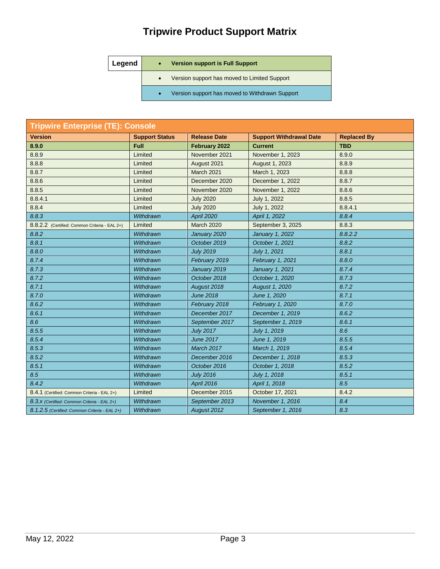## **Tripwire Product Support Matrix**

| Legend | <b>Version support is Full Support</b><br>$\bullet$         |
|--------|-------------------------------------------------------------|
|        | Version support has moved to Limited Support<br>$\bullet$   |
|        | Version support has moved to Withdrawn Support<br>$\bullet$ |

| <b>Tripwire Enterprise (TE): Console</b>      |                       |                     |                                |                    |
|-----------------------------------------------|-----------------------|---------------------|--------------------------------|--------------------|
| <b>Version</b>                                | <b>Support Status</b> | <b>Release Date</b> | <b>Support Withdrawal Date</b> | <b>Replaced By</b> |
| 8.9.0                                         | Full                  | February 2022       | <b>Current</b>                 | <b>TBD</b>         |
| 8.8.9                                         | Limited               | November 2021       | November 1, 2023               | 8.9.0              |
| 8.8.8                                         | Limited               | August 2021         | August 1, 2023                 | 8.8.9              |
| 8.8.7                                         | Limited               | March 2021          | March 1, 2023                  | 8.8.8              |
| 8.8.6                                         | Limited               | December 2020       | December 1, 2022               | 8.8.7              |
| 8.8.5                                         | Limited               | November 2020       | November 1, 2022               | 8.8.6              |
| 8.8.4.1                                       | Limited               | <b>July 2020</b>    | July 1, 2022                   | 8.8.5              |
| 8.8.4                                         | Limited               | <b>July 2020</b>    | July 1, 2022                   | 8.8.4.1            |
| 8.8.3                                         | Withdrawn             | <b>April 2020</b>   | April 1, 2022                  | 8.8.4              |
| 8.8.2.2 (Certified: Common Criteria - EAL 2+) | Limited               | <b>March 2020</b>   | September 3, 2025              | 8.8.3              |
| 8.8.2                                         | Withdrawn             | January 2020        | January 1, 2022                | 8.8.2.2            |
| 8.8.1                                         | Withdrawn             | October 2019        | October 1, 2021                | 8.8.2              |
| 8.8.0                                         | Withdrawn             | <b>July 2019</b>    | July 1, 2021                   | 8.8.1              |
| 8.7.4                                         | Withdrawn             | February 2019       | February 1, 2021               | 8.8.0              |
| 8.7.3                                         | Withdrawn             | January 2019        | January 1, 2021                | 8.7.4              |
| 8.7.2                                         | Withdrawn             | October 2018        | October 1, 2020                | 8.7.3              |
| 8.7.1                                         | Withdrawn             | August 2018         | August 1, 2020                 | 8.7.2              |
| 8.7.0                                         | Withdrawn             | <b>June 2018</b>    | June 1, 2020                   | 8.7.1              |
| 8.6.2                                         | Withdrawn             | February 2018       | February 1, 2020               | 8.7.0              |
| 8.6.1                                         | Withdrawn             | December 2017       | December 1, 2019               | 8.6.2              |
| 8.6                                           | Withdrawn             | September 2017      | September 1, 2019              | 8.6.1              |
| 8.5.5                                         | Withdrawn             | <b>July 2017</b>    | July 1, 2019                   | 8.6                |
| 8.5.4                                         | Withdrawn             | <b>June 2017</b>    | June 1, 2019                   | 8.5.5              |
| 8.5.3                                         | Withdrawn             | March 2017          | March 1, 2019                  | 8.5.4              |
| 8.5.2                                         | Withdrawn             | December 2016       | December 1, 2018               | 8.5.3              |
| 8.5.1                                         | Withdrawn             | October 2016        | October 1, 2018                | 8.5.2              |
| 8.5                                           | Withdrawn             | <b>July 2016</b>    | July 1, 2018                   | 8.5.1              |
| 8.4.2                                         | Withdrawn             | April 2016          | April 1, 2018                  | 8.5                |
| 8.4.1 (Certified: Common Criteria - EAL 2+)   | Limited               | December 2015       | October 17, 2021               | 8.4.2              |
| 8.3.X (Certified: Common Criteria - EAL 2+)   | Withdrawn             | September 2013      | November 1, 2016               | 8.4                |
| 8.1.2.5 (Certified: Common Criteria - EAL 2+) | Withdrawn             | August 2012         | September 1, 2016              | 8.3                |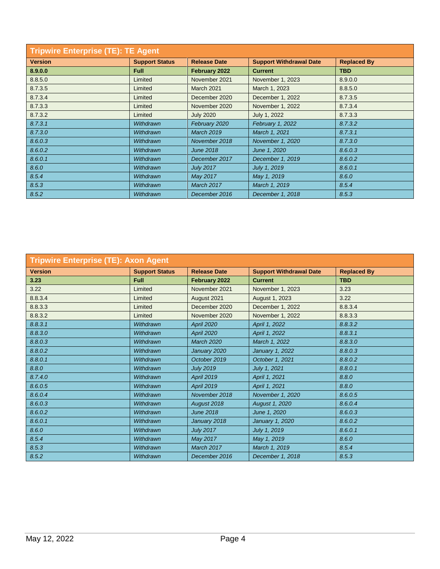| <b>Tripwire Enterprise (TE): TE Agent</b> |                       |                     |                                |                    |
|-------------------------------------------|-----------------------|---------------------|--------------------------------|--------------------|
| <b>Version</b>                            | <b>Support Status</b> | <b>Release Date</b> | <b>Support Withdrawal Date</b> | <b>Replaced By</b> |
| 8.9.0.0                                   | <b>Full</b>           | February 2022       | <b>Current</b>                 | <b>TBD</b>         |
| 8.8.5.0                                   | Limited               | November 2021       | November 1, 2023               | 8.9.0.0            |
| 8.7.3.5                                   | Limited               | <b>March 2021</b>   | March 1, 2023                  | 8.8.5.0            |
| 8.7.3.4                                   | Limited               | December 2020       | December 1, 2022               | 8.7.3.5            |
| 8.7.3.3                                   | Limited               | November 2020       | November 1, 2022               | 8.7.3.4            |
| 8.7.3.2                                   | Limited               | <b>July 2020</b>    | July 1, 2022                   | 8.7.3.3            |
| 8.7.3.1                                   | <b>Withdrawn</b>      | February 2020       | February 1, 2022               | 8.7.3.2            |
| 8.7.3.0                                   | Withdrawn             | <b>March 2019</b>   | March 1, 2021                  | 8.7.3.1            |
| 8.6.0.3                                   | Withdrawn             | November 2018       | November 1, 2020               | 8.7.3.0            |
| 8.6.0.2                                   | <b>Withdrawn</b>      | <b>June 2018</b>    | June 1, 2020                   | 8.6.0.3            |
| 8.6.0.1                                   | <b>Withdrawn</b>      | December 2017       | December 1, 2019               | 8.6.0.2            |
| 8.6.0                                     | <b>Withdrawn</b>      | <b>July 2017</b>    | July 1, 2019                   | 8.6.0.1            |
| 8.5.4                                     | <b>Withdrawn</b>      | May 2017            | May 1, 2019                    | 8.6.0              |
| 8.5.3                                     | <b>Withdrawn</b>      | March 2017          | March 1, 2019                  | 8.5.4              |
| 8.5.2                                     | Withdrawn             | December 2016       | December 1, 2018               | 8.5.3              |

| <b>Tripwire Enterprise (TE): Axon Agent</b> |                       |                     |                                |                    |
|---------------------------------------------|-----------------------|---------------------|--------------------------------|--------------------|
| <b>Version</b>                              | <b>Support Status</b> | <b>Release Date</b> | <b>Support Withdrawal Date</b> | <b>Replaced By</b> |
| 3.23                                        | <b>Full</b>           | February 2022       | <b>Current</b>                 | <b>TBD</b>         |
| 3.22                                        | Limited               | November 2021       | November 1, 2023               | 3.23               |
| 8.8.3.4                                     | Limited               | August 2021         | August 1, 2023                 | 3.22               |
| 8.8.3.3                                     | Limited               | December 2020       | December 1, 2022               | 8.8.3.4            |
| 8.8.3.2                                     | Limited               | November 2020       | November 1, 2022               | 8.8.3.3            |
| 8.8.3.1                                     | Withdrawn             | <b>April 2020</b>   | April 1, 2022                  | 8.8.3.2            |
| 8.8.3.0                                     | Withdrawn             | <b>April 2020</b>   | April 1, 2022                  | 8.8.3.1            |
| 8.8.0.3                                     | Withdrawn             | <b>March 2020</b>   | March 1, 2022                  | 8.8.3.0            |
| 8.8.0.2                                     | Withdrawn             | January 2020        | January 1, 2022                | 8.8.0.3            |
| 8.8.0.1                                     | Withdrawn             | October 2019        | October 1, 2021                | 8.8.0.2            |
| 8.8.0                                       | Withdrawn             | <b>July 2019</b>    | July 1, 2021                   | 8.8.0.1            |
| 8.7.4.0                                     | Withdrawn             | <b>April 2019</b>   | April 1, 2021                  | 8.8.0              |
| 8.6.0.5                                     | Withdrawn             | <b>April 2019</b>   | April 1, 2021                  | 8.8.0              |
| 8.6.0.4                                     | Withdrawn             | November 2018       | November 1, 2020               | 8.6.0.5            |
| 8.6.0.3                                     | Withdrawn             | August 2018         | August 1, 2020                 | 8.6.0.4            |
| 8.6.0.2                                     | Withdrawn             | <b>June 2018</b>    | June 1, 2020                   | 8.6.0.3            |
| 8.6.0.1                                     | Withdrawn             | January 2018        | January 1, 2020                | 8.6.0.2            |
| 8.6.0                                       | Withdrawn             | <b>July 2017</b>    | July 1, 2019                   | 8.6.0.1            |
| 8.5.4                                       | Withdrawn             | May 2017            | May 1, 2019                    | 8.6.0              |
| 8.5.3                                       | Withdrawn             | March 2017          | March 1, 2019                  | 8.5.4              |
| 8.5.2                                       | Withdrawn             | December 2016       | December 1, 2018               | 8.5.3              |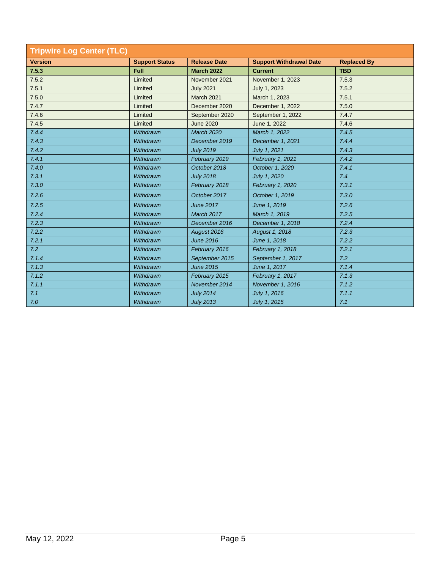| <b>Tripwire Log Center (TLC)</b> |                       |                     |                                |                    |
|----------------------------------|-----------------------|---------------------|--------------------------------|--------------------|
| <b>Version</b>                   | <b>Support Status</b> | <b>Release Date</b> | <b>Support Withdrawal Date</b> | <b>Replaced By</b> |
| 7.5.3                            | Full                  | <b>March 2022</b>   | <b>Current</b>                 | <b>TBD</b>         |
| 7.5.2                            | Limited               | November 2021       | November 1, 2023               | 7.5.3              |
| 7.5.1                            | Limited               | <b>July 2021</b>    | July 1, 2023                   | 7.5.2              |
| 7.5.0                            | Limited               | <b>March 2021</b>   | March 1, 2023                  | 7.5.1              |
| 7.4.7                            | Limited               | December 2020       | December 1, 2022               | 7.5.0              |
| 7.4.6                            | Limited               | September 2020      | September 1, 2022              | 7.4.7              |
| 7.4.5                            | Limited               | <b>June 2020</b>    | June 1, 2022                   | 7.4.6              |
| 7.4.4                            | Withdrawn             | <b>March 2020</b>   | March 1, 2022                  | 7.4.5              |
| 7.4.3                            | Withdrawn             | December 2019       | December 1, 2021               | 7.4.4              |
| 7.4.2                            | Withdrawn             | <b>July 2019</b>    | July 1, 2021                   | 7.4.3              |
| 7.4.1                            | Withdrawn             | February 2019       | February 1, 2021               | 7.4.2              |
| 7.4.0                            | Withdrawn             | October 2018        | October 1, 2020                | 7.4.1              |
| 7.3.1                            | Withdrawn             | <b>July 2018</b>    | July 1, 2020                   | 7.4                |
| 7.3.0                            | Withdrawn             | February 2018       | February 1, 2020               | 7.3.1              |
| 7.2.6                            | Withdrawn             | October 2017        | October 1, 2019                | 7.3.0              |
| 7.2.5                            | Withdrawn             | <b>June 2017</b>    | June 1, 2019                   | 7.2.6              |
| 7.2.4                            | Withdrawn             | March 2017          | March 1, 2019                  | 7.2.5              |
| 7.2.3                            | Withdrawn             | December 2016       | December 1, 2018               | 7.2.4              |
| 7.2.2                            | Withdrawn             | August 2016         | August 1, 2018                 | 7.2.3              |
| 7.2.1                            | Withdrawn             | <b>June 2016</b>    | June 1, 2018                   | 7.2.2              |
| 7.2                              | Withdrawn             | February 2016       | February 1, 2018               | 7.2.1              |
| 7.1.4                            | Withdrawn             | September 2015      | September 1, 2017              | 7.2                |
| 7.1.3                            | Withdrawn             | <b>June 2015</b>    | June 1, 2017                   | 7.1.4              |
| 7.1.2                            | Withdrawn             | February 2015       | February 1, 2017               | 7.1.3              |
| 7.1.1                            | Withdrawn             | November 2014       | November 1, 2016               | 7.1.2              |
| 7.1                              | Withdrawn             | <b>July 2014</b>    | July 1, 2016                   | 7.1.1              |
| 7.0                              | Withdrawn             | <b>July 2013</b>    | July 1, 2015                   | 7.1                |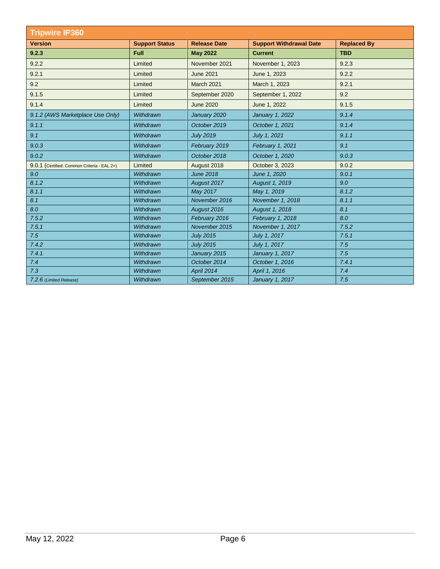| <b>Tripwire IP360</b>                       |                       |                     |                                |                    |
|---------------------------------------------|-----------------------|---------------------|--------------------------------|--------------------|
| <b>Version</b>                              | <b>Support Status</b> | <b>Release Date</b> | <b>Support Withdrawal Date</b> | <b>Replaced By</b> |
| 9.2.3                                       | <b>Full</b>           | <b>May 2022</b>     | <b>Current</b>                 | <b>TBD</b>         |
| 9.2.2                                       | Limited               | November 2021       | November 1, 2023               | 9.2.3              |
| 9.2.1                                       | Limited               | <b>June 2021</b>    | June 1, 2023                   | 9.2.2              |
| 9.2                                         | Limited               | <b>March 2021</b>   | March 1, 2023                  | 9.2.1              |
| 9.1.5                                       | Limited               | September 2020      | September 1, 2022              | 9.2                |
| 9.1.4                                       | Limited               | <b>June 2020</b>    | June 1, 2022                   | 9.1.5              |
| 9.1.2 (AWS Marketplace Use Only)            | Withdrawn             | January 2020        | January 1, 2022                | 9.1.4              |
| 9.1.1                                       | Withdrawn             | October 2019        | October 1, 2021                | 9.1.4              |
| 9.1                                         | Withdrawn             | <b>July 2019</b>    | July 1, 2021                   | 9.1.1              |
| 9.0.3                                       | Withdrawn             | February 2019       | February 1, 2021               | 9.1                |
| 9.0.2                                       | Withdrawn             | October 2018        | October 1, 2020                | 9.0.3              |
| 9.0.1 (Certified: Common Criteria - EAL 2+) | Limited               | August 2018         | October 3, 2023                | 9.0.2              |
| 9.0                                         | Withdrawn             | <b>June 2018</b>    | June 1, 2020                   | 9.0.1              |
| 8.1.2                                       | Withdrawn             | August 2017         | August 1, 2019                 | 9.0                |
| 8.1.1                                       | Withdrawn             | May 2017            | May 1, 2019                    | 8.1.2              |
| 8.1                                         | Withdrawn             | November 2016       | November 1, 2018               | 8.1.1              |
| 8.0                                         | Withdrawn             | August 2016         | August 1, 2018                 | 8.1                |
| 7.5.2                                       | Withdrawn             | February 2016       | February 1, 2018               | 8.0                |
| 7.5.1                                       | Withdrawn             | November 2015       | November 1, 2017               | 7.5.2              |
| 7.5                                         | Withdrawn             | <b>July 2015</b>    | July 1, 2017                   | 7.5.1              |
| 7.4.2                                       | Withdrawn             | <b>July 2015</b>    | July 1, 2017                   | 7.5                |
| 7.4.1                                       | Withdrawn             | January 2015        | January 1, 2017                | 7.5                |
| 7.4                                         | Withdrawn             | October 2014        | October 1, 2016                | 7.4.1              |
| 7.3                                         | Withdrawn             | April 2014          | April 1, 2016                  | 7.4                |
| 7.2.6 (Limited Release)                     | Withdrawn             | September 2015      | January 1, 2017                | 7.5                |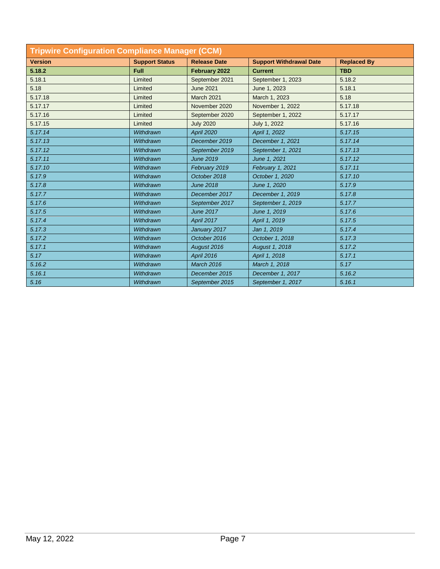| <b>Tripwire Configuration Compliance Manager (CCM)</b> |                       |                     |                                |                    |
|--------------------------------------------------------|-----------------------|---------------------|--------------------------------|--------------------|
| <b>Version</b>                                         | <b>Support Status</b> | <b>Release Date</b> | <b>Support Withdrawal Date</b> | <b>Replaced By</b> |
| 5.18.2                                                 | Full                  | February 2022       | <b>Current</b>                 | <b>TBD</b>         |
| 5.18.1                                                 | Limited               | September 2021      | September 1, 2023              | 5.18.2             |
| 5.18                                                   | Limited               | <b>June 2021</b>    | June 1, 2023                   | 5.18.1             |
| 5.17.18                                                | Limited               | March 2021          | March 1, 2023                  | 5.18               |
| 5.17.17                                                | Limited               | November 2020       | November 1, 2022               | 5.17.18            |
| 5.17.16                                                | Limited               | September 2020      | September 1, 2022              | 5.17.17            |
| 5.17.15                                                | Limited               | <b>July 2020</b>    | July 1, 2022                   | 5.17.16            |
| 5.17.14                                                | Withdrawn             | <b>April 2020</b>   | April 1, 2022                  | 5.17.15            |
| 5.17.13                                                | Withdrawn             | December 2019       | December 1, 2021               | 5.17.14            |
| 5.17.12                                                | Withdrawn             | September 2019      | September 1, 2021              | 5.17.13            |
| 5.17.11                                                | Withdrawn             | <b>June 2019</b>    | June 1, 2021                   | 5.17.12            |
| 5.17.10                                                | Withdrawn             | February 2019       | February 1, 2021               | 5.17.11            |
| 5.17.9                                                 | Withdrawn             | October 2018        | October 1, 2020                | 5.17.10            |
| 5.17.8                                                 | Withdrawn             | <b>June 2018</b>    | June 1, 2020                   | 5.17.9             |
| 5.17.7                                                 | Withdrawn             | December 2017       | December 1, 2019               | 5.17.8             |
| 5.17.6                                                 | Withdrawn             | September 2017      | September 1, 2019              | 5.17.7             |
| 5.17.5                                                 | Withdrawn             | <b>June 2017</b>    | June 1, 2019                   | 5.17.6             |
| 5.17.4                                                 | Withdrawn             | April 2017          | April 1, 2019                  | 5.17.5             |
| 5.17.3                                                 | Withdrawn             | January 2017        | Jan 1, 2019                    | 5.17.4             |
| 5.17.2                                                 | Withdrawn             | October 2016        | October 1, 2018                | 5.17.3             |
| 5.17.1                                                 | Withdrawn             | August 2016         | August 1, 2018                 | 5.17.2             |
| 5.17                                                   | Withdrawn             | <b>April 2016</b>   | April 1, 2018                  | 5.17.1             |
| 5.16.2                                                 | Withdrawn             | <b>March 2016</b>   | March 1, 2018                  | 5.17               |
| 5.16.1                                                 | Withdrawn             | December 2015       | December 1, 2017               | 5.16.2             |
| 5.16                                                   | Withdrawn             | September 2015      | September 1, 2017              | 5.16.1             |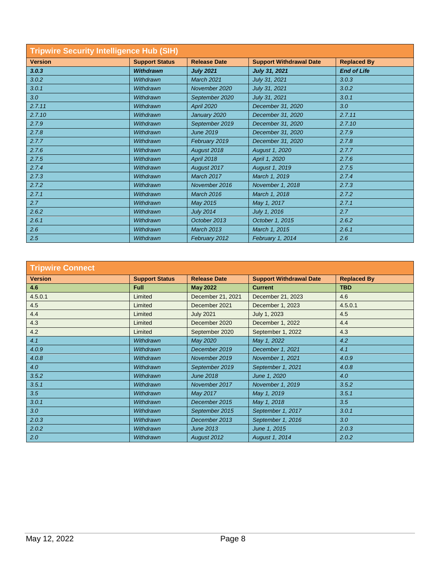| <b>Tripwire Security Intelligence Hub (SIH)</b> |                       |                     |                                |                    |
|-------------------------------------------------|-----------------------|---------------------|--------------------------------|--------------------|
| <b>Version</b>                                  | <b>Support Status</b> | <b>Release Date</b> | <b>Support Withdrawal Date</b> | <b>Replaced By</b> |
| 3.0.3                                           | <b>Withdrawn</b>      | <b>July 2021</b>    | <b>July 31, 2021</b>           | <b>End of Life</b> |
| 3.0.2                                           | Withdrawn             | <b>March 2021</b>   | July 31, 2021                  | 3.0.3              |
| 3.0.1                                           | Withdrawn             | November 2020       | July 31, 2021                  | 3.0.2              |
| 3.0                                             | Withdrawn             | September 2020      | July 31, 2021                  | 3.0.1              |
| 2.7.11                                          | Withdrawn             | April 2020          | December 31, 2020              | 3.0                |
| 2.7.10                                          | Withdrawn             | January 2020        | December 31, 2020              | 2.7.11             |
| 2.7.9                                           | Withdrawn             | September 2019      | December 31, 2020              | 2.7.10             |
| 2.7.8                                           | Withdrawn             | <b>June 2019</b>    | December 31, 2020              | 2.7.9              |
| 2.7.7                                           | Withdrawn             | February 2019       | December 31, 2020              | 2.7.8              |
| 2.7.6                                           | Withdrawn             | August 2018         | August 1, 2020                 | 2.7.7              |
| 2.7.5                                           | Withdrawn             | <b>April 2018</b>   | April 1, 2020                  | 2.7.6              |
| 2.7.4                                           | Withdrawn             | August 2017         | August 1, 2019                 | 2.7.5              |
| 2.7.3                                           | Withdrawn             | <b>March 2017</b>   | March 1, 2019                  | 2.7.4              |
| 2.7.2                                           | Withdrawn             | November 2016       | November 1, 2018               | 2.7.3              |
| 2.7.1                                           | Withdrawn             | <b>March 2016</b>   | March 1, 2018                  | 2.7.2              |
| 2.7                                             | Withdrawn             | May 2015            | May 1, 2017                    | 2.7.1              |
| 2.6.2                                           | Withdrawn             | <b>July 2014</b>    | July 1, 2016                   | 2.7                |
| 2.6.1                                           | Withdrawn             | October 2013        | October 1, 2015                | 2.6.2              |
| 2.6                                             | Withdrawn             | <b>March 2013</b>   | March 1, 2015                  | 2.6.1              |
| 2.5                                             | Withdrawn             | February 2012       | February 1, 2014               | 2.6                |

| <b>Tripwire Connect</b> |                       |                     |                                |                    |
|-------------------------|-----------------------|---------------------|--------------------------------|--------------------|
| <b>Version</b>          | <b>Support Status</b> | <b>Release Date</b> | <b>Support Withdrawal Date</b> | <b>Replaced By</b> |
| 4.6                     | <b>Full</b>           | <b>May 2022</b>     | <b>Current</b>                 | <b>TBD</b>         |
| 4.5.0.1                 | Limited               | December 21, 2021   | December 21, 2023              | 4.6                |
| 4.5                     | Limited               | December 2021       | December 1, 2023               | 4.5.0.1            |
| 4.4                     | Limited               | <b>July 2021</b>    | July 1, 2023                   | 4.5                |
| 4.3                     | Limited               | December 2020       | December 1, 2022               | 4.4                |
| 4.2                     | Limited               | September 2020      | September 1, 2022              | 4.3                |
| 4.1                     | Withdrawn             | May 2020            | May 1, 2022                    | 4.2                |
| 4.0.9                   | Withdrawn             | December 2019       | December 1, 2021               | 4.1                |
| 4.0.8                   | Withdrawn             | November 2019       | November 1, 2021               | 4.0.9              |
| 4.0                     | Withdrawn             | September 2019      | September 1, 2021              | 4.0.8              |
| 3.5.2                   | Withdrawn             | <b>June 2018</b>    | June 1, 2020                   | 4.0                |
| 3.5.1                   | Withdrawn             | November 2017       | November 1, 2019               | 3.5.2              |
| 3.5                     | Withdrawn             | May 2017            | May 1, 2019                    | 3.5.1              |
| 3.0.1                   | Withdrawn             | December 2015       | May 1, 2018                    | 3.5                |
| 3.0                     | Withdrawn             | September 2015      | September 1, 2017              | 3.0.1              |
| 2.0.3                   | Withdrawn             | December 2013       | September 1, 2016              | 3.0                |
| 2.0.2                   | Withdrawn             | <b>June 2013</b>    | June 1, 2015                   | 2.0.3              |
| 2.0                     | Withdrawn             | August 2012         | August 1, 2014                 | 2.0.2              |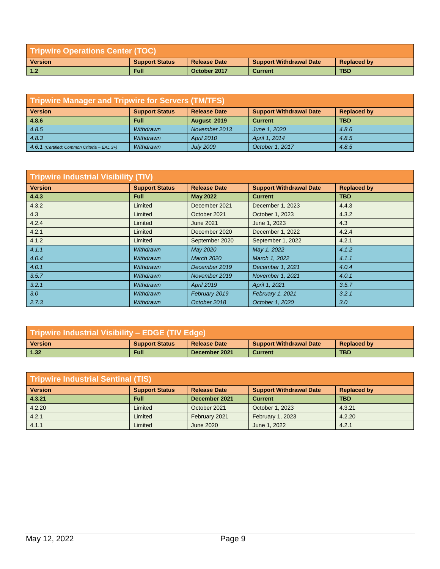| <b>Tripwire Operations Center (TOC)</b> |                       |                     |                                |                    |
|-----------------------------------------|-----------------------|---------------------|--------------------------------|--------------------|
| <b>Version</b>                          | <b>Support Status</b> | <b>Release Date</b> | <b>Support Withdrawal Date</b> | <b>Replaced by</b> |
| $-1.2$                                  | <b>Full</b>           | October 2017        | <b>Current</b>                 | <b>TBD</b>         |

| <b>Tripwire Manager and Tripwire for Servers (TM/TFS)</b> |                       |                     |                                |                    |  |
|-----------------------------------------------------------|-----------------------|---------------------|--------------------------------|--------------------|--|
| <b>Version</b>                                            | <b>Support Status</b> | <b>Release Date</b> | <b>Support Withdrawal Date</b> | <b>Replaced by</b> |  |
| 4.8.6                                                     | <b>Full</b>           | August 2019         | <b>Current</b>                 | <b>TBD</b>         |  |
| 4.8.5                                                     | Withdrawn             | November 2013       | June 1, 2020                   | 4.8.6              |  |
| 4.8.3                                                     | Withdrawn             | <b>April 2010</b>   | April 1, 2014                  | 4.8.5              |  |
| 4.6.1 (Certified: Common Criteria - EAL 3+)               | Withdrawn             | <b>July 2009</b>    | October 1, 2017                | 4.8.5              |  |

| <b>Tripwire Industrial Visibility (TIV)</b> |                       |                     |                                |                    |
|---------------------------------------------|-----------------------|---------------------|--------------------------------|--------------------|
| <b>Version</b>                              | <b>Support Status</b> | <b>Release Date</b> | <b>Support Withdrawal Date</b> | <b>Replaced by</b> |
| 4.4.3                                       | <b>Full</b>           | <b>May 2022</b>     | <b>Current</b>                 | <b>TBD</b>         |
| 4.3.2                                       | Limited               | December 2021       | December 1, 2023               | 4.4.3              |
| 4.3                                         | Limited               | October 2021        | October 1, 2023                | 4.3.2              |
| 4.2.4                                       | Limited               | <b>June 2021</b>    | June 1, 2023                   | 4.3                |
| 4.2.1                                       | Limited               | December 2020       | December 1, 2022               | 4.2.4              |
| 4.1.2                                       | Limited               | September 2020      | September 1, 2022              | 4.2.1              |
| 4.1.1                                       | Withdrawn             | May 2020            | May 1, 2022                    | 4.1.2              |
| 4.0.4                                       | Withdrawn             | <b>March 2020</b>   | March 1, 2022                  | 4.1.1              |
| 4.0.1                                       | Withdrawn             | December 2019       | December 1, 2021               | 4.0.4              |
| 3.5.7                                       | Withdrawn             | November 2019       | November 1, 2021               | 4.0.1              |
| 3.2.1                                       | Withdrawn             | <b>April 2019</b>   | April 1, 2021                  | 3.5.7              |
| 3.0                                         | Withdrawn             | February 2019       | February 1, 2021               | 3.2.1              |
| 2.7.3                                       | Withdrawn             | October 2018        | October 1, 2020                | 3.0 <sub>2</sub>   |

| Tripwire Industrial Visibility – EDGE (TIV Edge) |                       |                     |                                |                    |
|--------------------------------------------------|-----------------------|---------------------|--------------------------------|--------------------|
| Version                                          | <b>Support Status</b> | <b>Release Date</b> | <b>Support Withdrawal Date</b> | <b>Replaced by</b> |
| $-1.32$                                          | <b>Full</b>           | December 2021       | <b>Current</b>                 | TBD                |

| Tripwire Industrial Sentinal (TIS) |                       |                     |                                |                    |
|------------------------------------|-----------------------|---------------------|--------------------------------|--------------------|
| <b>Version</b>                     | <b>Support Status</b> | <b>Release Date</b> | <b>Support Withdrawal Date</b> | <b>Replaced by</b> |
| 4.3.21                             | <b>Full</b>           | December 2021       | <b>Current</b>                 | <b>TBD</b>         |
| 4.2.20                             | Limited               | October 2021        | October 1, 2023                | 4.3.21             |
| 4.2.1                              | Limited               | February 2021       | February 1, 2023               | 4.2.20             |
| 4.1.1                              | Limited               | <b>June 2020</b>    | June 1, 2022                   | 4.2.1              |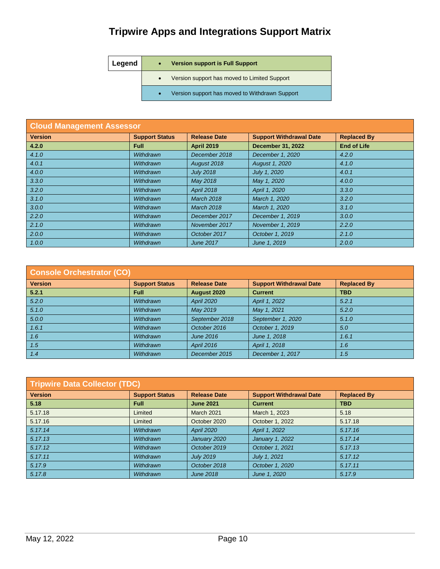## **Tripwire Apps and Integrations Support Matrix**

| Legend | <b>Version support is Full Support</b>         |
|--------|------------------------------------------------|
|        | Version support has moved to Limited Support   |
|        | Version support has moved to Withdrawn Support |

| <b>Cloud Management Assessor</b> |                       |                     |                                |                    |
|----------------------------------|-----------------------|---------------------|--------------------------------|--------------------|
| <b>Version</b>                   | <b>Support Status</b> | <b>Release Date</b> | <b>Support Withdrawal Date</b> | <b>Replaced By</b> |
| 4.2.0                            | <b>Full</b>           | <b>April 2019</b>   | <b>December 31, 2022</b>       | <b>End of Life</b> |
| 4.1.0                            | Withdrawn             | December 2018       | December 1, 2020               | 4.2.0              |
| 4.0.1                            | Withdrawn             | August 2018         | August 1, 2020                 | 4.1.0              |
| 4.0.0                            | <b>Withdrawn</b>      | <b>July 2018</b>    | July 1, 2020                   | 4.0.1              |
| 3.3.0                            | Withdrawn             | May 2018            | May 1, 2020                    | 4.0.0              |
| 3.2.0                            | Withdrawn             | <b>April 2018</b>   | April 1, 2020                  | 3.3.0              |
| 3.1.0                            | Withdrawn             | <b>March 2018</b>   | March 1, 2020                  | 3.2.0              |
| 3.0.0                            | Withdrawn             | <b>March 2018</b>   | March 1, 2020                  | 3.1.0              |
| 2.2.0                            | Withdrawn             | December 2017       | December 1, 2019               | 3.0.0              |
| 2.1.0                            | Withdrawn             | November 2017       | November 1, 2019               | 2.2.0              |
| 2.0.0                            | Withdrawn             | October 2017        | October 1, 2019                | 2.1.0              |
| 1.0.0                            | Withdrawn             | <b>June 2017</b>    | June 1, 2019                   | 2.0.0              |

| <b>Console Orchestrator (CO)</b> |                       |                     |                                |                    |
|----------------------------------|-----------------------|---------------------|--------------------------------|--------------------|
| <b>Version</b>                   | <b>Support Status</b> | <b>Release Date</b> | <b>Support Withdrawal Date</b> | <b>Replaced By</b> |
| 5.2.1                            | <b>Full</b>           | August 2020         | <b>Current</b>                 | <b>TBD</b>         |
| 5.2.0                            | Withdrawn             | <b>April 2020</b>   | April 1, 2022                  | 5.2.1              |
| 5.1.0                            | Withdrawn             | May 2019            | May 1, 2021                    | 5.2.0              |
| 5.0.0                            | Withdrawn             | September 2018      | September 1, 2020              | 5.1.0              |
| 1.6.1                            | Withdrawn             | October 2016        | October 1, 2019                | 5.0                |
| 1.6                              | Withdrawn             | <b>June 2016</b>    | June 1, 2018                   | 1.6.1              |
| 1.5                              | Withdrawn             | <b>April 2016</b>   | April 1, 2018                  | 1.6                |
| 1.4                              | Withdrawn             | December 2015       | December 1, 2017               | 1.5                |

| <b>Tripwire Data Collector (TDC)</b> |                       |                     |                                |                    |
|--------------------------------------|-----------------------|---------------------|--------------------------------|--------------------|
| <b>Version</b>                       | <b>Support Status</b> | <b>Release Date</b> | <b>Support Withdrawal Date</b> | <b>Replaced By</b> |
| 5.18                                 | <b>Full</b>           | <b>June 2021</b>    | <b>Current</b>                 | <b>TBD</b>         |
| 5.17.18                              | Limited               | <b>March 2021</b>   | March 1, 2023                  | 5.18               |
| 5.17.16                              | Limited               | October 2020        | October 1, 2022                | 5.17.18            |
| 5.17.14                              | Withdrawn             | <b>April 2020</b>   | April 1, 2022                  | 5.17.16            |
| 5.17.13                              | Withdrawn             | January 2020        | January 1, 2022                | 5.17.14            |
| 5.17.12                              | Withdrawn             | October 2019        | October 1, 2021                | 5.17.13            |
| 5.17.11                              | Withdrawn             | <b>July 2019</b>    | July 1, 2021                   | 5.17.12            |
| 5.17.9                               | Withdrawn             | October 2018        | October 1, 2020                | 5.17.11            |
| 5.17.8                               | <b>Withdrawn</b>      | <b>June 2018</b>    | June 1, 2020                   | 5.17.9             |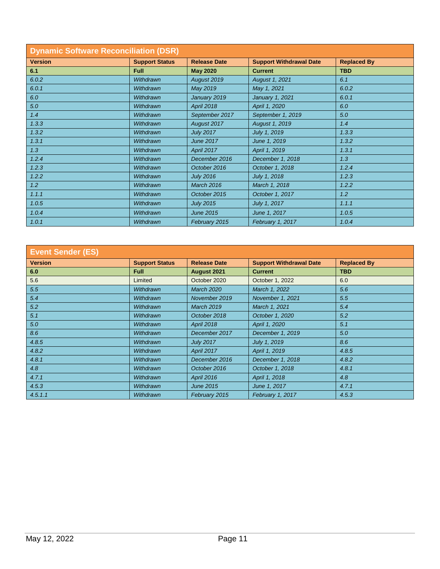| <b>Dynamic Software Reconciliation (DSR)</b> |                       |                     |                                |                    |
|----------------------------------------------|-----------------------|---------------------|--------------------------------|--------------------|
| <b>Version</b>                               | <b>Support Status</b> | <b>Release Date</b> | <b>Support Withdrawal Date</b> | <b>Replaced By</b> |
| 6.1                                          | <b>Full</b>           | <b>May 2020</b>     | <b>Current</b>                 | <b>TBD</b>         |
| 6.0.2                                        | <b>Withdrawn</b>      | August 2019         | August 1, 2021                 | 6.1                |
| 6.0.1                                        | <b>Withdrawn</b>      | May 2019            | May 1, 2021                    | 6.0.2              |
| 6.0                                          | Withdrawn             | January 2019        | January 1, 2021                | 6.0.1              |
| 5.0                                          | <b>Withdrawn</b>      | <b>April 2018</b>   | April 1, 2020                  | 6.0                |
| 1.4                                          | Withdrawn             | September 2017      | September 1, 2019              | 5.0                |
| 1.3.3                                        | Withdrawn             | August 2017         | August 1, 2019                 | 1.4                |
| 1.3.2                                        | <b>Withdrawn</b>      | <b>July 2017</b>    | July 1, 2019                   | 1.3.3              |
| 1.3.1                                        | Withdrawn             | <b>June 2017</b>    | June 1, 2019                   | 1.3.2              |
| 1.3                                          | Withdrawn             | <b>April 2017</b>   | April 1, 2019                  | 1.3.1              |
| 1.2.4                                        | Withdrawn             | December 2016       | December 1, 2018               | 1.3                |
| 1.2.3                                        | <b>Withdrawn</b>      | October 2016        | October 1, 2018                | 1.2.4              |
| 1.2.2                                        | Withdrawn             | <b>July 2016</b>    | July 1, 2018                   | 1.2.3              |
| 1.2                                          | <b>Withdrawn</b>      | <b>March 2016</b>   | March 1, 2018                  | 1.2.2              |
| 1.1.1                                        | <b>Withdrawn</b>      | October 2015        | October 1, 2017                | 1.2                |
| 1.0.5                                        | <b>Withdrawn</b>      | <b>July 2015</b>    | July 1, 2017                   | 1.1.1              |
| 1.0.4                                        | Withdrawn             | <b>June 2015</b>    | June 1, 2017                   | 1.0.5              |
| 1.0.1                                        | Withdrawn             | February 2015       | February 1, 2017               | 1.0.4              |

| <b>Event Sender (ES)</b> |                       |                     |                                |                    |
|--------------------------|-----------------------|---------------------|--------------------------------|--------------------|
| <b>Version</b>           | <b>Support Status</b> | <b>Release Date</b> | <b>Support Withdrawal Date</b> | <b>Replaced By</b> |
| 6.0                      | <b>Full</b>           | August 2021         | <b>Current</b>                 | <b>TBD</b>         |
| 5.6                      | Limited               | October 2020        | October 1, 2022                | 6.0                |
| 5.5                      | Withdrawn             | <b>March 2020</b>   | March 1, 2022                  | 5.6                |
| 5.4                      | <b>Withdrawn</b>      | November 2019       | November 1, 2021               | 5.5                |
| 5.2                      | <b>Withdrawn</b>      | <b>March 2019</b>   | March 1, 2021                  | 5.4                |
| 5.1                      | <b>Withdrawn</b>      | October 2018        | October 1, 2020                | 5.2                |
| 5.0                      | Withdrawn             | <b>April 2018</b>   | April 1, 2020                  | 5.1                |
| 8.6                      | Withdrawn             | December 2017       | December 1, 2019               | 5.0                |
| 4.8.5                    | Withdrawn             | <b>July 2017</b>    | July 1, 2019                   | 8.6                |
| 4.8.2                    | Withdrawn             | April 2017          | April 1, 2019                  | 4.8.5              |
| 4.8.1                    | Withdrawn             | December 2016       | December 1, 2018               | 4.8.2              |
| 4.8                      | Withdrawn             | October 2016        | October 1, 2018                | 4.8.1              |
| 4.7.1                    | Withdrawn             | <b>April 2016</b>   | April 1, 2018                  | 4.8                |
| 4.5.3                    | Withdrawn             | <b>June 2015</b>    | June 1, 2017                   | 4.7.1              |
| 4.5.1.1                  | <b>Withdrawn</b>      | February 2015       | February 1, 2017               | 4.5.3              |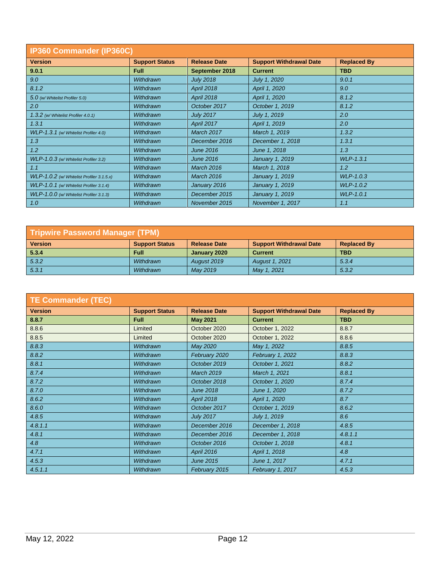| <b>IP360 Commander (IP360C)</b>           |                       |                     |                                |                    |
|-------------------------------------------|-----------------------|---------------------|--------------------------------|--------------------|
| <b>Version</b>                            | <b>Support Status</b> | <b>Release Date</b> | <b>Support Withdrawal Date</b> | <b>Replaced By</b> |
| 9.0.1                                     | <b>Full</b>           | September 2018      | <b>Current</b>                 | <b>TBD</b>         |
| 9.0                                       | Withdrawn             | <b>July 2018</b>    | July 1, 2020                   | 9.0.1              |
| 8.1.2                                     | Withdrawn             | <b>April 2018</b>   | April 1, 2020                  | 9.0                |
| 5.0 (w/ Whitelist Profiler 5.0)           | Withdrawn             | <b>April 2018</b>   | April 1, 2020                  | 8.1.2              |
| 2.0                                       | Withdrawn             | October 2017        | October 1, 2019                | 8.1.2              |
| 1.3.2 (w/ Whitelist Profiler 4.0.1)       | Withdrawn             | <b>July 2017</b>    | July 1, 2019                   | 2.0                |
| 1.3.1                                     | Withdrawn             | April 2017          | April 1, 2019                  | 2.0                |
| WLP-1.3.1 (w/ Whitelist Profiler 4.0)     | Withdrawn             | March 2017          | March 1, 2019                  | 1.3.2              |
| 1.3                                       | Withdrawn             | December 2016       | December 1, 2018               | 1.3.1              |
| 1.2                                       | Withdrawn             | <b>June 2016</b>    | June 1, 2018                   | 1.3                |
| WLP-1.0.3 (w/ Whitelist Profiler 3.2)     | Withdrawn             | <b>June 2016</b>    | January 1, 2019                | WLP-1.3.1          |
| 1.1                                       | Withdrawn             | <b>March 2016</b>   | March 1, 2018                  | 1.2                |
| WLP-1.0.2 (w/ Whitelist Profiler 3.1.5.x) | Withdrawn             | <b>March 2016</b>   | January 1, 2019                | WLP-1.0.3          |
| WLP-1.0.1 (w/ Whitelist Profiler 3.1.4)   | Withdrawn             | January 2016        | January 1, 2019                | WLP-1.0.2          |
| WLP-1.0.0 (w/ Whitelist Profiler 3.1.3)   | Withdrawn             | December 2015       | January 1, 2019                | <b>WLP-1.0.1</b>   |
| 1.0                                       | Withdrawn             | November 2015       | November 1, 2017               | 1.1                |

| <b>Tripwire Password Manager (TPM)</b> |                       |                     |                                |                    |
|----------------------------------------|-----------------------|---------------------|--------------------------------|--------------------|
| <b>Version</b>                         | <b>Support Status</b> | <b>Release Date</b> | <b>Support Withdrawal Date</b> | <b>Replaced By</b> |
| 5.3.4                                  | <b>Full</b>           | January 2020        | <b>Current</b>                 | <b>TBD</b>         |
| 5.3.2                                  | Withdrawn             | August 2019         | August 1, 2021                 | 5.3.4              |
| 5.3.1                                  | Withdrawn             | May 2019            | May 1, 2021                    | 5.3.2              |

| <b>TE Commander (TEC)</b> |                       |                     |                                |                    |
|---------------------------|-----------------------|---------------------|--------------------------------|--------------------|
| <b>Version</b>            | <b>Support Status</b> | <b>Release Date</b> | <b>Support Withdrawal Date</b> | <b>Replaced By</b> |
| 8.8.7                     | <b>Full</b>           | <b>May 2021</b>     | <b>Current</b>                 | <b>TBD</b>         |
| 8.8.6                     | Limited               | October 2020        | October 1, 2022                | 8.8.7              |
| 8.8.5                     | Limited               | October 2020        | October 1, 2022                | 8.8.6              |
| 8.8.3                     | Withdrawn             | May 2020            | May 1, 2022                    | 8.8.5              |
| 8.8.2                     | Withdrawn             | February 2020       | February 1, 2022               | 8.8.3              |
| 8.8.1                     | Withdrawn             | October 2019        | October 1, 2021                | 8.8.2              |
| 8.7.4                     | Withdrawn             | <b>March 2019</b>   | March 1, 2021                  | 8.8.1              |
| 8.7.2                     | Withdrawn             | October 2018        | October 1, 2020                | 8.7.4              |
| 8.7.0                     | Withdrawn             | <b>June 2018</b>    | June 1, 2020                   | 8.7.2              |
| 8.6.2                     | Withdrawn             | <b>April 2018</b>   | April 1, 2020                  | 8.7                |
| 8.6.0                     | Withdrawn             | October 2017        | October 1, 2019                | 8.6.2              |
| 4.8.5                     | Withdrawn             | <b>July 2017</b>    | July 1, 2019                   | 8.6                |
| 4.8.1.1                   | Withdrawn             | December 2016       | December 1, 2018               | 4.8.5              |
| 4.8.1                     | Withdrawn             | December 2016       | December 1, 2018               | 4.8.1.1            |
| 4.8                       | Withdrawn             | October 2016        | October 1, 2018                | 4.8.1              |
| 4.7.1                     | Withdrawn             | <b>April 2016</b>   | April 1, 2018                  | 4.8                |
| 4.5.3                     | Withdrawn             | <b>June 2015</b>    | June 1, 2017                   | 4.7.1              |
| 4.5.1.1                   | Withdrawn             | February 2015       | February 1, 2017               | 4.5.3              |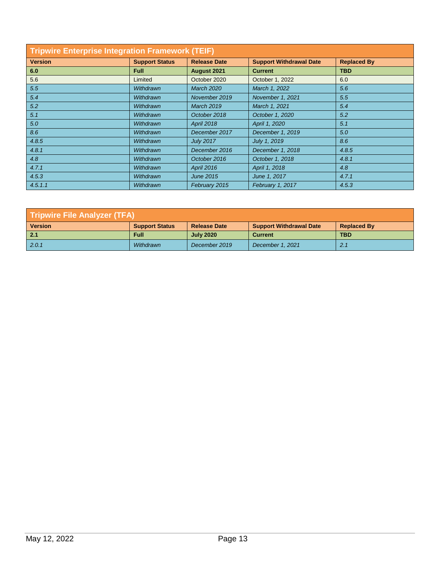| <b>Tripwire Enterprise Integration Framework (TEIF)</b> |                       |                     |                                |                    |
|---------------------------------------------------------|-----------------------|---------------------|--------------------------------|--------------------|
| <b>Version</b>                                          | <b>Support Status</b> | <b>Release Date</b> | <b>Support Withdrawal Date</b> | <b>Replaced By</b> |
| 6.0                                                     | <b>Full</b>           | August 2021         | <b>Current</b>                 | <b>TBD</b>         |
| 5.6                                                     | Limited               | October 2020        | October 1, 2022                | 6.0                |
| 5.5                                                     | <b>Withdrawn</b>      | <b>March 2020</b>   | March 1, 2022                  | 5.6                |
| 5.4                                                     | <b>Withdrawn</b>      | November 2019       | November 1, 2021               | 5.5                |
| 5.2                                                     | Withdrawn             | <b>March 2019</b>   | March 1, 2021                  | 5.4                |
| 5.1                                                     | <b>Withdrawn</b>      | October 2018        | October 1, 2020                | 5.2                |
| 5.0                                                     | <b>Withdrawn</b>      | <b>April 2018</b>   | April 1, 2020                  | 5.1                |
| 8.6                                                     | <b>Withdrawn</b>      | December 2017       | December 1, 2019               | 5.0                |
| 4.8.5                                                   | Withdrawn             | <b>July 2017</b>    | July 1, 2019                   | 8.6                |
| 4.8.1                                                   | <b>Withdrawn</b>      | December 2016       | December 1, 2018               | 4.8.5              |
| 4.8                                                     | <b>Withdrawn</b>      | October 2016        | October 1, 2018                | 4.8.1              |
| 4.7.1                                                   | <b>Withdrawn</b>      | <b>April 2016</b>   | April 1, 2018                  | 4.8                |
| 4.5.3                                                   | Withdrawn             | June 2015           | June 1, 2017                   | 4.7.1              |
| 4.5.1.1                                                 | <b>Withdrawn</b>      | February 2015       | February 1, 2017               | 4.5.3              |

| <b>Tripwire File Analyzer (TFA)</b> |                       |                     |                                |                    |
|-------------------------------------|-----------------------|---------------------|--------------------------------|--------------------|
| <b>Version</b>                      | <b>Support Status</b> | <b>Release Date</b> | <b>Support Withdrawal Date</b> | <b>Replaced By</b> |
| $\vert 2.1 \vert$                   | <b>Full</b>           | <b>July 2020</b>    | <b>Current</b>                 | TBD                |
| 2.0.1                               | Withdrawn             | December 2019       | December 1, 2021               | 2.1                |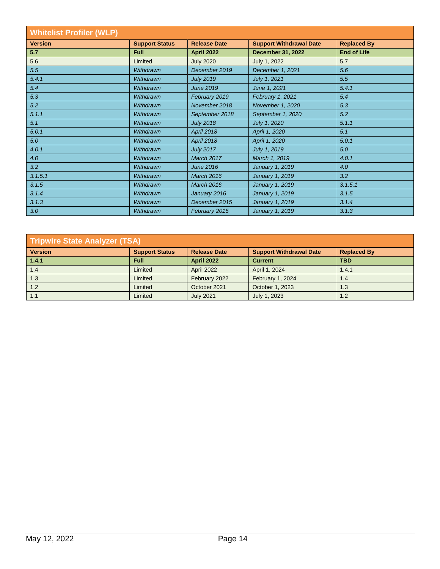| <b>Whitelist Profiler (WLP)</b> |                       |                     |                                |                    |
|---------------------------------|-----------------------|---------------------|--------------------------------|--------------------|
| <b>Version</b>                  | <b>Support Status</b> | <b>Release Date</b> | <b>Support Withdrawal Date</b> | <b>Replaced By</b> |
| 5.7                             | <b>Full</b>           | <b>April 2022</b>   | <b>December 31, 2022</b>       | <b>End of Life</b> |
| 5.6                             | Limited               | <b>July 2020</b>    | July 1, 2022                   | 5.7                |
| 5.5                             | Withdrawn             | December 2019       | December 1, 2021               | 5.6                |
| 5.4.1                           | Withdrawn             | <b>July 2019</b>    | July 1, 2021                   | 5.5                |
| 5.4                             | Withdrawn             | <b>June 2019</b>    | June 1, 2021                   | 5.4.1              |
| 5.3                             | Withdrawn             | February 2019       | February 1, 2021               | 5.4                |
| 5.2                             | Withdrawn             | November 2018       | November 1, 2020               | 5.3                |
| 5.1.1                           | Withdrawn             | September 2018      | September 1, 2020              | 5.2                |
| 5.1                             | Withdrawn             | <b>July 2018</b>    | July 1, 2020                   | 5.1.1              |
| 5.0.1                           | Withdrawn             | <b>April 2018</b>   | April 1, 2020                  | 5.1                |
| 5.0                             | Withdrawn             | <b>April 2018</b>   | April 1, 2020                  | 5.0.1              |
| 4.0.1                           | Withdrawn             | <b>July 2017</b>    | July 1, 2019                   | 5.0                |
| 4.0                             | Withdrawn             | <b>March 2017</b>   | March 1, 2019                  | 4.0.1              |
| 3.2                             | Withdrawn             | <b>June 2016</b>    | January 1, 2019                | 4.0                |
| 3.1.5.1                         | Withdrawn             | <b>March 2016</b>   | January 1, 2019                | 3.2                |
| 3.1.5                           | Withdrawn             | <b>March 2016</b>   | January 1, 2019                | 3.1.5.1            |
| 3.1.4                           | Withdrawn             | January 2016        | January 1, 2019                | 3.1.5              |
| 3.1.3                           | Withdrawn             | December 2015       | January 1, 2019                | 3.1.4              |
| 3.0                             | Withdrawn             | February 2015       | January 1, 2019                | 3.1.3              |

| <b>Tripwire State Analyzer (TSA)</b> |                       |                     |                                |                    |
|--------------------------------------|-----------------------|---------------------|--------------------------------|--------------------|
| <b>Version</b>                       | <b>Support Status</b> | <b>Release Date</b> | <b>Support Withdrawal Date</b> | <b>Replaced By</b> |
| 1.4.1                                | <b>Full</b>           | <b>April 2022</b>   | <b>Current</b>                 | <b>TBD</b>         |
| 1.4                                  | Limited               | <b>April 2022</b>   | April 1, 2024                  | 1.4.1              |
| 1.3                                  | Limited               | February 2022       | February 1, 2024               | 1.4                |
| 1.2                                  | Limited               | October 2021        | October 1, 2023                | 1.3                |
| 1.1                                  | Limited               | <b>July 2021</b>    | July 1, 2023                   | 1.2                |